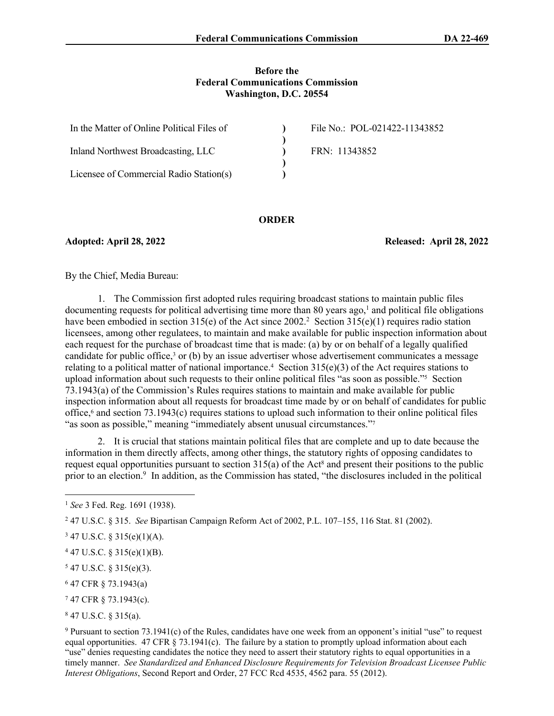#### **Before the Federal Communications Commission Washington, D.C. 20554**

| In the Matter of Online Political Files of | File No.: POL-021422-11343852 |
|--------------------------------------------|-------------------------------|
|                                            |                               |
| Inland Northwest Broadcasting, LLC         | FRN: 11343852                 |
|                                            |                               |
| Licensee of Commercial Radio Station(s)    |                               |

#### **ORDER**

**Adopted: April 28, 2022 Released: April 28, 2022**

By the Chief, Media Bureau:

1. The Commission first adopted rules requiring broadcast stations to maintain public files  $d$ ocumenting requests for political advertising time more than 80 years ago,<sup>1</sup> and political file obligations have been embodied in section 315(e) of the Act since 2002.<sup>2</sup> Section 315(e)(1) requires radio station licensees, among other regulatees, to maintain and make available for public inspection information about each request for the purchase of broadcast time that is made: (a) by or on behalf of a legally qualified candidate for public office,<sup>3</sup> or (b) by an issue advertiser whose advertisement communicates a message relating to a political matter of national importance.<sup>4</sup> Section  $315(e)(3)$  of the Act requires stations to upload information about such requests to their online political files "as soon as possible."<sup>5</sup> Section 73.1943(a) of the Commission's Rules requires stations to maintain and make available for public inspection information about all requests for broadcast time made by or on behalf of candidates for public office,<sup>6</sup> and section 73.1943(c) requires stations to upload such information to their online political files "as soon as possible," meaning "immediately absent unusual circumstances."<sup>7</sup>

2. It is crucial that stations maintain political files that are complete and up to date because the information in them directly affects, among other things, the statutory rights of opposing candidates to request equal opportunities pursuant to section  $315(a)$  of the Act<sup>8</sup> and present their positions to the public prior to an election.<sup>9</sup> In addition, as the Commission has stated, "the disclosures included in the political

 $547$  U.S.C. § 315(e)(3).

6 47 CFR § 73.1943(a)

<sup>1</sup> *See* 3 Fed. Reg. 1691 (1938).

<sup>2</sup> 47 U.S.C. § 315. *See* Bipartisan Campaign Reform Act of 2002, P.L. 107–155, 116 Stat. 81 (2002).

 $347$  U.S.C. § 315(e)(1)(A).

 $447$  U.S.C. § 315(e)(1)(B).

<sup>7</sup> 47 CFR § 73.1943(c).

<sup>8</sup> 47 U.S.C. § 315(a).

<sup>9</sup> Pursuant to section 73.1941(c) of the Rules, candidates have one week from an opponent's initial "use" to request equal opportunities. 47 CFR  $\S$  73.1941(c). The failure by a station to promptly upload information about each "use" denies requesting candidates the notice they need to assert their statutory rights to equal opportunities in a timely manner. *See Standardized and Enhanced Disclosure Requirements for Television Broadcast Licensee Public Interest Obligations*, Second Report and Order, 27 FCC Rcd 4535, 4562 para. 55 (2012).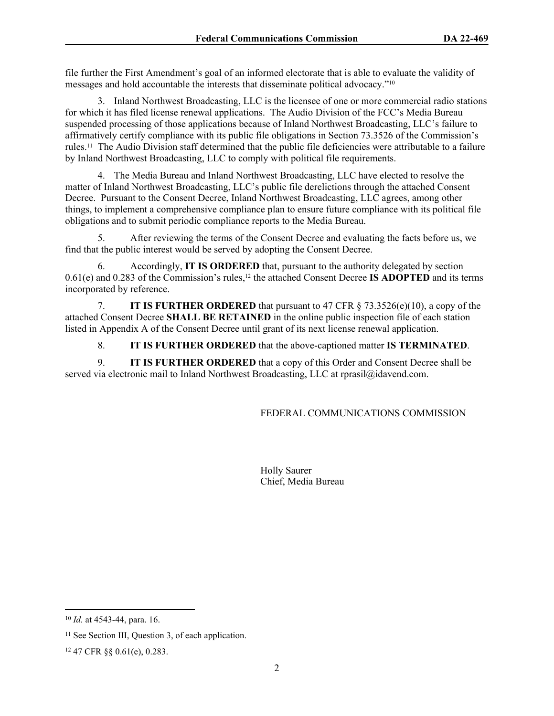file further the First Amendment's goal of an informed electorate that is able to evaluate the validity of messages and hold accountable the interests that disseminate political advocacy."<sup>10</sup>

3. Inland Northwest Broadcasting, LLC is the licensee of one or more commercial radio stations for which it has filed license renewal applications. The Audio Division of the FCC's Media Bureau suspended processing of those applications because of Inland Northwest Broadcasting, LLC's failure to affirmatively certify compliance with its public file obligations in Section 73.3526 of the Commission's rules.11 The Audio Division staff determined that the public file deficiencies were attributable to a failure by Inland Northwest Broadcasting, LLC to comply with political file requirements.

4. The Media Bureau and Inland Northwest Broadcasting, LLC have elected to resolve the matter of Inland Northwest Broadcasting, LLC's public file derelictions through the attached Consent Decree. Pursuant to the Consent Decree, Inland Northwest Broadcasting, LLC agrees, among other things, to implement a comprehensive compliance plan to ensure future compliance with its political file obligations and to submit periodic compliance reports to the Media Bureau.

5. After reviewing the terms of the Consent Decree and evaluating the facts before us, we find that the public interest would be served by adopting the Consent Decree.

6. Accordingly, **IT IS ORDERED** that, pursuant to the authority delegated by section 0.61(e) and 0.283 of the Commission's rules,12 the attached Consent Decree **IS ADOPTED** and its terms incorporated by reference.

7. **IT IS FURTHER ORDERED** that pursuant to 47 CFR § 73.3526(e)(10), a copy of the attached Consent Decree **SHALL BE RETAINED** in the online public inspection file of each station listed in Appendix A of the Consent Decree until grant of its next license renewal application.

8. **IT IS FURTHER ORDERED** that the above-captioned matter **IS TERMINATED**.

9. **IT IS FURTHER ORDERED** that a copy of this Order and Consent Decree shall be served via electronic mail to Inland Northwest Broadcasting, LLC at rprasil@idavend.com.

# FEDERAL COMMUNICATIONS COMMISSION

Holly Saurer Chief, Media Bureau

<sup>10</sup> *Id.* at 4543-44, para. 16.

<sup>&</sup>lt;sup>11</sup> See Section III, Question 3, of each application.

<sup>12</sup> 47 CFR §§ 0.61(e), 0.283.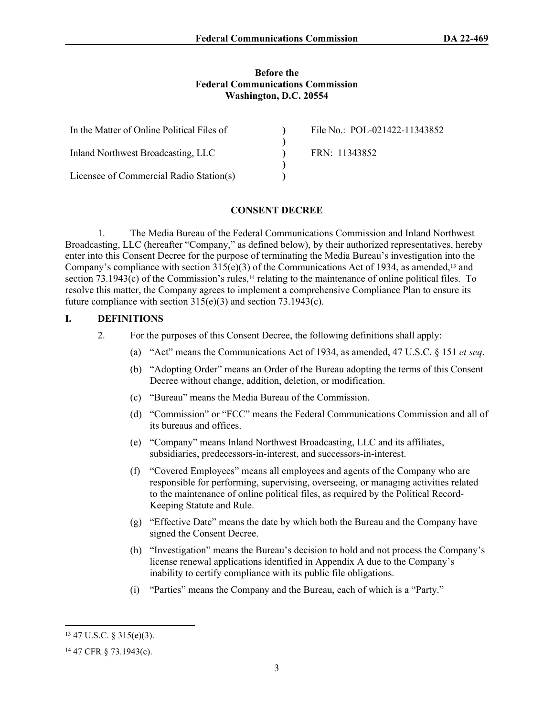#### **Before the Federal Communications Commission Washington, D.C. 20554**

| In the Matter of Online Political Files of | File No.: POL-021422-11343852 |
|--------------------------------------------|-------------------------------|
| Inland Northwest Broadcasting, LLC         | FRN: 11343852                 |
| Licensee of Commercial Radio Station(s)    |                               |

#### **CONSENT DECREE**

1. The Media Bureau of the Federal Communications Commission and Inland Northwest Broadcasting, LLC (hereafter "Company," as defined below), by their authorized representatives, hereby enter into this Consent Decree for the purpose of terminating the Media Bureau's investigation into the Company's compliance with section  $315(e)(3)$  of the Communications Act of 1934, as amended,<sup>13</sup> and section  $73.1943(c)$  of the Commission's rules,<sup>14</sup> relating to the maintenance of online political files. To resolve this matter, the Company agrees to implement a comprehensive Compliance Plan to ensure its future compliance with section 315(e)(3) and section 73.1943(c).

### **I. DEFINITIONS**

- 2. For the purposes of this Consent Decree, the following definitions shall apply:
	- (a) "Act" means the Communications Act of 1934, as amended, 47 U.S.C. § 151 *et seq*.
	- (b) "Adopting Order" means an Order of the Bureau adopting the terms of this Consent Decree without change, addition, deletion, or modification.
	- (c) "Bureau" means the Media Bureau of the Commission.
	- (d) "Commission" or "FCC" means the Federal Communications Commission and all of its bureaus and offices.
	- (e) "Company" means Inland Northwest Broadcasting, LLC and its affiliates, subsidiaries, predecessors-in-interest, and successors-in-interest.
	- (f) "Covered Employees" means all employees and agents of the Company who are responsible for performing, supervising, overseeing, or managing activities related to the maintenance of online political files, as required by the Political Record-Keeping Statute and Rule.
	- (g) "Effective Date" means the date by which both the Bureau and the Company have signed the Consent Decree.
	- (h) "Investigation" means the Bureau's decision to hold and not process the Company's license renewal applications identified in Appendix A due to the Company's inability to certify compliance with its public file obligations.
	- (i) "Parties" means the Company and the Bureau, each of which is a "Party."

<sup>13</sup> 47 U.S.C. § 315(e)(3).

<sup>14</sup> 47 CFR § 73.1943(c).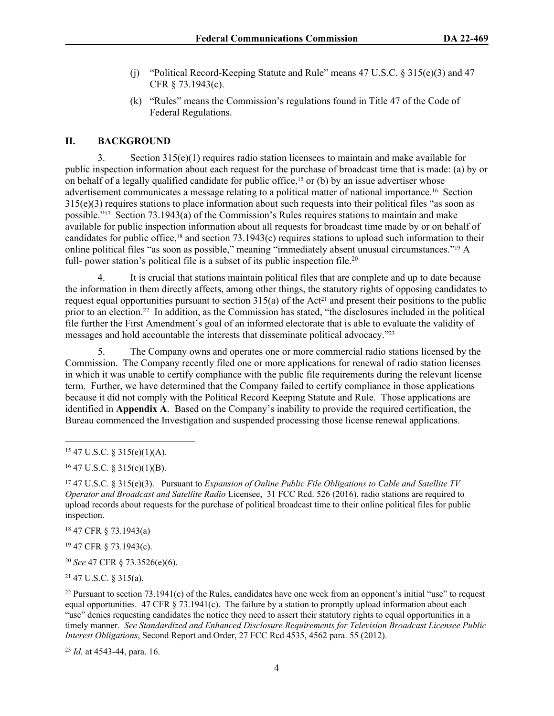- (j) "Political Record-Keeping Statute and Rule" means 47 U.S.C. § 315(e)(3) and 47 CFR § 73.1943(c).
- (k) "Rules" means the Commission's regulations found in Title 47 of the Code of Federal Regulations.

### **II. BACKGROUND**

3. Section 315(e)(1) requires radio station licensees to maintain and make available for public inspection information about each request for the purchase of broadcast time that is made: (a) by or on behalf of a legally qualified candidate for public office,<sup>15</sup> or (b) by an issue advertiser whose advertisement communicates a message relating to a political matter of national importance.16 Section 315(e)(3) requires stations to place information about such requests into their political files "as soon as possible."17 Section 73.1943(a) of the Commission's Rules requires stations to maintain and make available for public inspection information about all requests for broadcast time made by or on behalf of candidates for public office,18 and section 73.1943(c) requires stations to upload such information to their online political files "as soon as possible," meaning "immediately absent unusual circumstances."19 A full- power station's political file is a subset of its public inspection file.<sup>20</sup>

4. It is crucial that stations maintain political files that are complete and up to date because the information in them directly affects, among other things, the statutory rights of opposing candidates to request equal opportunities pursuant to section  $315(a)$  of the Act<sup>21</sup> and present their positions to the public prior to an election.<sup>22</sup> In addition, as the Commission has stated, "the disclosures included in the political file further the First Amendment's goal of an informed electorate that is able to evaluate the validity of messages and hold accountable the interests that disseminate political advocacy."<sup>23</sup>

5. The Company owns and operates one or more commercial radio stations licensed by the Commission. The Company recently filed one or more applications for renewal of radio station licenses in which it was unable to certify compliance with the public file requirements during the relevant license term. Further, we have determined that the Company failed to certify compliance in those applications because it did not comply with the Political Record Keeping Statute and Rule. Those applications are identified in **Appendix A**. Based on the Company's inability to provide the required certification, the Bureau commenced the Investigation and suspended processing those license renewal applications.

<sup>18</sup> 47 CFR § 73.1943(a)

<sup>19</sup> 47 CFR § 73.1943(c).

<sup>20</sup> *See* 47 CFR § 73.3526(e)(6).

<sup>21</sup> 47 U.S.C. § 315(a).

<sup>22</sup> Pursuant to section  $73.1941(c)$  of the Rules, candidates have one week from an opponent's initial "use" to request equal opportunities. 47 CFR  $\S$  73.1941(c). The failure by a station to promptly upload information about each "use" denies requesting candidates the notice they need to assert their statutory rights to equal opportunities in a timely manner. *See Standardized and Enhanced Disclosure Requirements for Television Broadcast Licensee Public Interest Obligations*, Second Report and Order, 27 FCC Rcd 4535, 4562 para. 55 (2012).

<sup>23</sup> *Id.* at 4543-44, para. 16.

<sup>15</sup> 47 U.S.C. § 315(e)(1)(A).

 $16$  47 U.S.C. § 315(e)(1)(B).

<sup>17</sup> 47 U.S.C. § 315(e)(3). Pursuant to *Expansion of Online Public File Obligations to Cable and Satellite TV Operator and Broadcast and Satellite Radio* Licensee, 31 FCC Rcd. 526 (2016), radio stations are required to upload records about requests for the purchase of political broadcast time to their online political files for public inspection.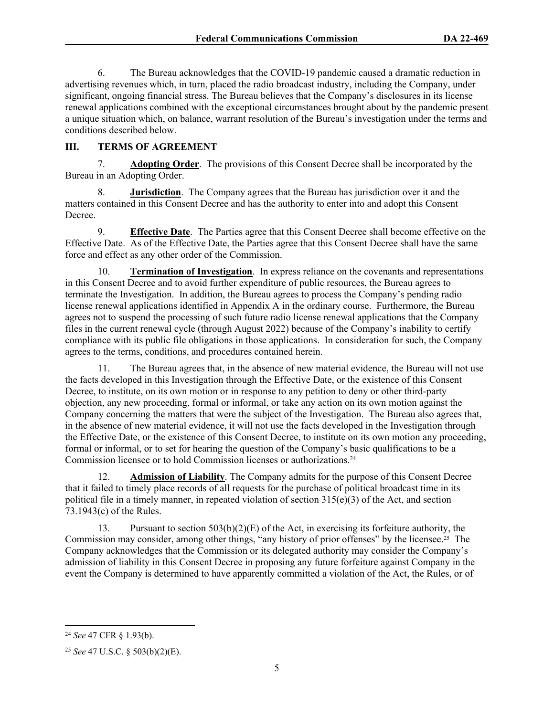6. The Bureau acknowledges that the COVID-19 pandemic caused a dramatic reduction in advertising revenues which, in turn, placed the radio broadcast industry, including the Company, under significant, ongoing financial stress. The Bureau believes that the Company's disclosures in its license renewal applications combined with the exceptional circumstances brought about by the pandemic present a unique situation which, on balance, warrant resolution of the Bureau's investigation under the terms and conditions described below.

## **III. TERMS OF AGREEMENT**

7. **Adopting Order**.The provisions of this Consent Decree shall be incorporated by the Bureau in an Adopting Order.

8. **Jurisdiction**. The Company agrees that the Bureau has jurisdiction over it and the matters contained in this Consent Decree and has the authority to enter into and adopt this Consent Decree.

9. **Effective Date**. The Parties agree that this Consent Decree shall become effective on the Effective Date. As of the Effective Date, the Parties agree that this Consent Decree shall have the same force and effect as any other order of the Commission.

10. **Termination of Investigation**.In express reliance on the covenants and representations in this Consent Decree and to avoid further expenditure of public resources, the Bureau agrees to terminate the Investigation. In addition, the Bureau agrees to process the Company's pending radio license renewal applications identified in Appendix A in the ordinary course. Furthermore, the Bureau agrees not to suspend the processing of such future radio license renewal applications that the Company files in the current renewal cycle (through August 2022) because of the Company's inability to certify compliance with its public file obligations in those applications. In consideration for such, the Company agrees to the terms, conditions, and procedures contained herein.

11. The Bureau agrees that, in the absence of new material evidence, the Bureau will not use the facts developed in this Investigation through the Effective Date, or the existence of this Consent Decree, to institute, on its own motion or in response to any petition to deny or other third-party objection, any new proceeding, formal or informal, or take any action on its own motion against the Company concerning the matters that were the subject of the Investigation. The Bureau also agrees that, in the absence of new material evidence, it will not use the facts developed in the Investigation through the Effective Date, or the existence of this Consent Decree, to institute on its own motion any proceeding, formal or informal, or to set for hearing the question of the Company's basic qualifications to be a Commission licensee or to hold Commission licenses or authorizations.<sup>24</sup>

12. **Admission of Liability**. The Company admits for the purpose of this Consent Decree that it failed to timely place records of all requests for the purchase of political broadcast time in its political file in a timely manner, in repeated violation of section  $315(e)(3)$  of the Act, and section 73.1943(c) of the Rules.

13. Pursuant to section  $503(b)(2)(E)$  of the Act, in exercising its forfeiture authority, the Commission may consider, among other things, "any history of prior offenses" by the licensee.25 The Company acknowledges that the Commission or its delegated authority may consider the Company's admission of liability in this Consent Decree in proposing any future forfeiture against Company in the event the Company is determined to have apparently committed a violation of the Act, the Rules, or of

<sup>24</sup> *See* 47 CFR § 1.93(b).

<sup>25</sup> *See* 47 U.S.C. § 503(b)(2)(E).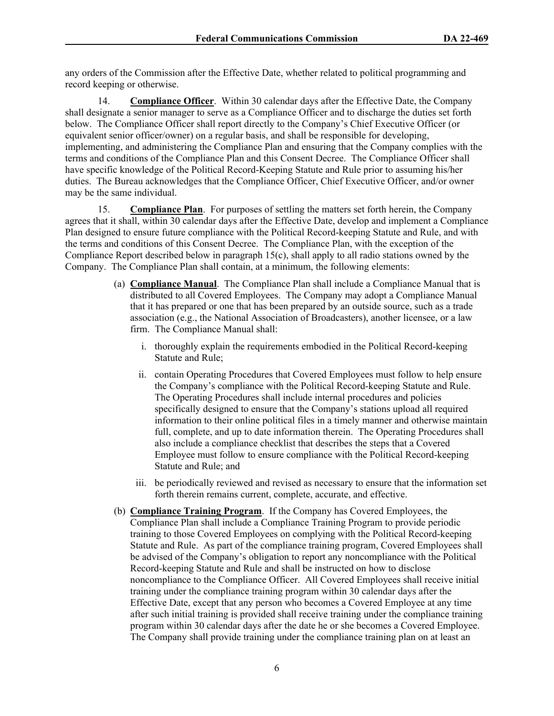any orders of the Commission after the Effective Date, whether related to political programming and record keeping or otherwise.

14. **Compliance Officer**. Within 30 calendar days after the Effective Date, the Company shall designate a senior manager to serve as a Compliance Officer and to discharge the duties set forth below. The Compliance Officer shall report directly to the Company's Chief Executive Officer (or equivalent senior officer/owner) on a regular basis, and shall be responsible for developing, implementing, and administering the Compliance Plan and ensuring that the Company complies with the terms and conditions of the Compliance Plan and this Consent Decree. The Compliance Officer shall have specific knowledge of the Political Record-Keeping Statute and Rule prior to assuming his/her duties. The Bureau acknowledges that the Compliance Officer, Chief Executive Officer, and/or owner may be the same individual.

15. **Compliance Plan**. For purposes of settling the matters set forth herein, the Company agrees that it shall, within 30 calendar days after the Effective Date, develop and implement a Compliance Plan designed to ensure future compliance with the Political Record-keeping Statute and Rule, and with the terms and conditions of this Consent Decree. The Compliance Plan, with the exception of the Compliance Report described below in paragraph 15(c), shall apply to all radio stations owned by the Company. The Compliance Plan shall contain, at a minimum, the following elements:

- (a) **Compliance Manual**. The Compliance Plan shall include a Compliance Manual that is distributed to all Covered Employees. The Company may adopt a Compliance Manual that it has prepared or one that has been prepared by an outside source, such as a trade association (e.g., the National Association of Broadcasters), another licensee, or a law firm. The Compliance Manual shall:
	- i. thoroughly explain the requirements embodied in the Political Record-keeping Statute and Rule;
	- ii. contain Operating Procedures that Covered Employees must follow to help ensure the Company's compliance with the Political Record-keeping Statute and Rule. The Operating Procedures shall include internal procedures and policies specifically designed to ensure that the Company's stations upload all required information to their online political files in a timely manner and otherwise maintain full, complete, and up to date information therein. The Operating Procedures shall also include a compliance checklist that describes the steps that a Covered Employee must follow to ensure compliance with the Political Record-keeping Statute and Rule; and
	- iii. be periodically reviewed and revised as necessary to ensure that the information set forth therein remains current, complete, accurate, and effective.
- (b) **Compliance Training Program**. If the Company has Covered Employees, the Compliance Plan shall include a Compliance Training Program to provide periodic training to those Covered Employees on complying with the Political Record-keeping Statute and Rule. As part of the compliance training program, Covered Employees shall be advised of the Company's obligation to report any noncompliance with the Political Record-keeping Statute and Rule and shall be instructed on how to disclose noncompliance to the Compliance Officer. All Covered Employees shall receive initial training under the compliance training program within 30 calendar days after the Effective Date, except that any person who becomes a Covered Employee at any time after such initial training is provided shall receive training under the compliance training program within 30 calendar days after the date he or she becomes a Covered Employee. The Company shall provide training under the compliance training plan on at least an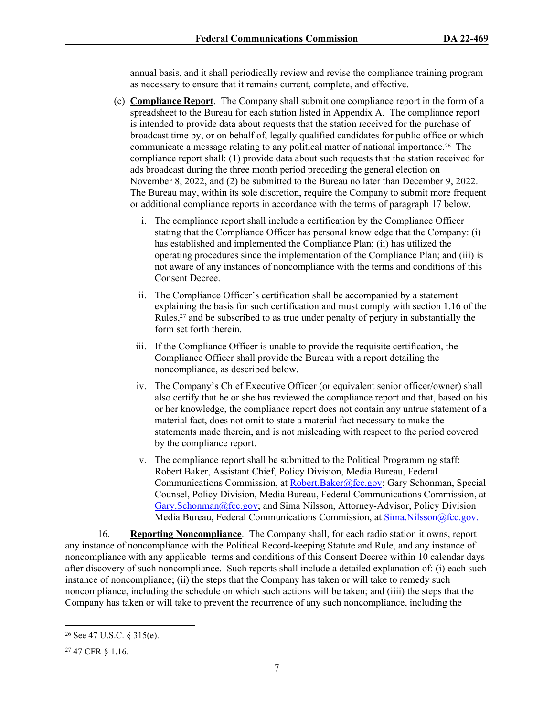annual basis, and it shall periodically review and revise the compliance training program as necessary to ensure that it remains current, complete, and effective.

- (c) **Compliance Report**. The Company shall submit one compliance report in the form of a spreadsheet to the Bureau for each station listed in Appendix A. The compliance report is intended to provide data about requests that the station received for the purchase of broadcast time by, or on behalf of, legally qualified candidates for public office or which communicate a message relating to any political matter of national importance.26 The compliance report shall: (1) provide data about such requests that the station received for ads broadcast during the three month period preceding the general election on November 8, 2022, and (2) be submitted to the Bureau no later than December 9, 2022. The Bureau may, within its sole discretion, require the Company to submit more frequent or additional compliance reports in accordance with the terms of paragraph 17 below.
	- i. The compliance report shall include a certification by the Compliance Officer stating that the Compliance Officer has personal knowledge that the Company: (i) has established and implemented the Compliance Plan; (ii) has utilized the operating procedures since the implementation of the Compliance Plan; and (iii) is not aware of any instances of noncompliance with the terms and conditions of this Consent Decree.
	- ii. The Compliance Officer's certification shall be accompanied by a statement explaining the basis for such certification and must comply with section 1.16 of the Rules,<sup>27</sup> and be subscribed to as true under penalty of perjury in substantially the form set forth therein.
	- iii. If the Compliance Officer is unable to provide the requisite certification, the Compliance Officer shall provide the Bureau with a report detailing the noncompliance, as described below.
	- iv. The Company's Chief Executive Officer (or equivalent senior officer/owner) shall also certify that he or she has reviewed the compliance report and that, based on his or her knowledge, the compliance report does not contain any untrue statement of a material fact, does not omit to state a material fact necessary to make the statements made therein, and is not misleading with respect to the period covered by the compliance report.
	- v. The compliance report shall be submitted to the Political Programming staff: Robert Baker, Assistant Chief, Policy Division, Media Bureau, Federal Communications Commission, at [Robert.Baker@fcc.gov](mailto:Robert.Baker@fcc.gov); Gary Schonman, Special Counsel, Policy Division, Media Bureau, Federal Communications Commission, at [Gary.Schonman@fcc.gov;](mailto:Gary.Schonman@fcc.gov) and Sima Nilsson, Attorney-Advisor, Policy Division Media Bureau, Federal Communications Commission, at [Sima.Nilsson@fcc.gov.](file://fccnet/data/Bureaus-Offices/MB/Policy/MB/Policy/POLITICAL%20PROGRAMMING/COMPLAINTS%20AND%20PETITIONS%20FOR%20RULEMAKING%20&%20DECLARATORY%20RULINGS/POLITICAL%20FILES%20-%20GROUP%20OWNERS/Consent%20Decrees/Entercom/Sima.Nilsson@fcc.gov.)

16. **Reporting Noncompliance**. The Company shall, for each radio station it owns, report any instance of noncompliance with the Political Record-keeping Statute and Rule, and any instance of noncompliance with any applicable terms and conditions of this Consent Decree within 10 calendar days after discovery of such noncompliance. Such reports shall include a detailed explanation of: (i) each such instance of noncompliance; (ii) the steps that the Company has taken or will take to remedy such noncompliance, including the schedule on which such actions will be taken; and (iiii) the steps that the Company has taken or will take to prevent the recurrence of any such noncompliance, including the

<sup>26</sup> See 47 U.S.C. § 315(e).

<sup>27</sup> 47 CFR § 1.16.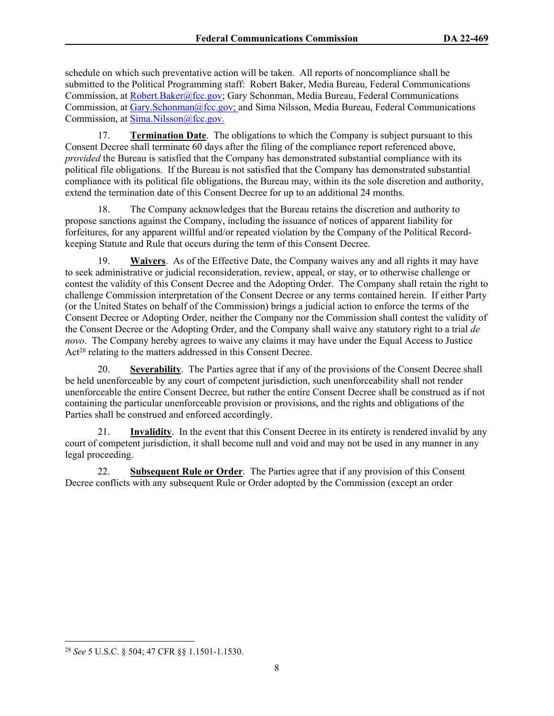schedule on which such preventative action will be taken. All reports of noncompliance shall be submitted to the Political Programming staff: Robert Baker, Media Bureau, Federal Communications Commission, at [Robert.Baker@fcc.gov;](mailto:Robert.Baker@fcc.gov) Gary Schonman, Media Bureau, Federal Communications Commission, at [Gary.Schonman@fcc.gov;](mailto:Gary.Schonman@fcc.gov) and Sima Nilsson, Media Bureau, Federal Communications Commission, at [Sima.Nilsson@fcc.gov.](file://fccnet/data/Bureaus-Offices/MB/Policy/MB/Policy/POLITICAL%20PROGRAMMING/COMPLAINTS%20AND%20PETITIONS%20FOR%20RULEMAKING%20&%20DECLARATORY%20RULINGS/POLITICAL%20FILES%20-%20GROUP%20OWNERS/Consent%20Decrees/Entercom/Sima.Nilsson@fcc.gov.)

17. **Termination Date**. The obligations to which the Company is subject pursuant to this Consent Decree shall terminate 60 days after the filing of the compliance report referenced above, *provided* the Bureau is satisfied that the Company has demonstrated substantial compliance with its political file obligations. If the Bureau is not satisfied that the Company has demonstrated substantial compliance with its political file obligations, the Bureau may, within its the sole discretion and authority, extend the termination date of this Consent Decree for up to an additional 24 months.

18. The Company acknowledges that the Bureau retains the discretion and authority to propose sanctions against the Company, including the issuance of notices of apparent liability for forfeitures, for any apparent willful and/or repeated violation by the Company of the Political Recordkeeping Statute and Rule that occurs during the term of this Consent Decree.

19. **Waivers**. As of the Effective Date, the Company waives any and all rights it may have to seek administrative or judicial reconsideration, review, appeal, or stay, or to otherwise challenge or contest the validity of this Consent Decree and the Adopting Order. The Company shall retain the right to challenge Commission interpretation of the Consent Decree or any terms contained herein. If either Party (or the United States on behalf of the Commission) brings a judicial action to enforce the terms of the Consent Decree or Adopting Order, neither the Company nor the Commission shall contest the validity of the Consent Decree or the Adopting Order, and the Company shall waive any statutory right to a trial *de novo*. The Company hereby agrees to waive any claims it may have under the Equal Access to Justice Act<sup>28</sup> relating to the matters addressed in this Consent Decree.

20. **Severability**. The Parties agree that if any of the provisions of the Consent Decree shall be held unenforceable by any court of competent jurisdiction, such unenforceability shall not render unenforceable the entire Consent Decree, but rather the entire Consent Decree shall be construed as if not containing the particular unenforceable provision or provisions, and the rights and obligations of the Parties shall be construed and enforced accordingly.

21. **Invalidity**. In the event that this Consent Decree in its entirety is rendered invalid by any court of competent jurisdiction, it shall become null and void and may not be used in any manner in any legal proceeding.

22. **Subsequent Rule or Order**. The Parties agree that if any provision of this Consent Decree conflicts with any subsequent Rule or Order adopted by the Commission (except an order

<sup>28</sup> *See* 5 U.S.C. § 504; 47 CFR §§ 1.1501-1.1530.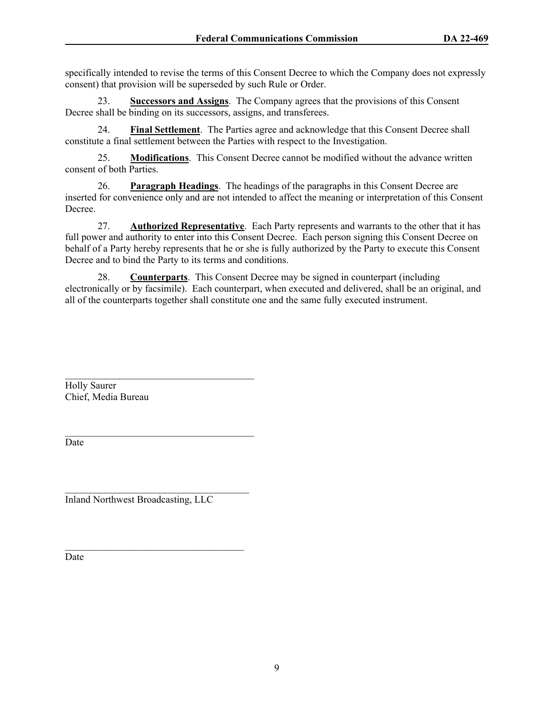specifically intended to revise the terms of this Consent Decree to which the Company does not expressly consent) that provision will be superseded by such Rule or Order.

23. **Successors and Assigns**.The Company agrees that the provisions of this Consent Decree shall be binding on its successors, assigns, and transferees.

24. **Final Settlement**. The Parties agree and acknowledge that this Consent Decree shall constitute a final settlement between the Parties with respect to the Investigation.

25. **Modifications**. This Consent Decree cannot be modified without the advance written consent of both Parties.

26. **Paragraph Headings**. The headings of the paragraphs in this Consent Decree are inserted for convenience only and are not intended to affect the meaning or interpretation of this Consent Decree.

27. **Authorized Representative**. Each Party represents and warrants to the other that it has full power and authority to enter into this Consent Decree. Each person signing this Consent Decree on behalf of a Party hereby represents that he or she is fully authorized by the Party to execute this Consent Decree and to bind the Party to its terms and conditions.

28. **Counterparts**. This Consent Decree may be signed in counterpart (including electronically or by facsimile). Each counterpart, when executed and delivered, shall be an original, and all of the counterparts together shall constitute one and the same fully executed instrument.

 $\mathcal{L}_\text{max}$ Holly Saurer Chief, Media Bureau

Date

 $\mathcal{L}_\text{max}$ Inland Northwest Broadcasting, LLC

 $\mathcal{L}_\text{max}$ 

 $\mathcal{L}_\text{max}$  and  $\mathcal{L}_\text{max}$  and  $\mathcal{L}_\text{max}$  and  $\mathcal{L}_\text{max}$ 

Date